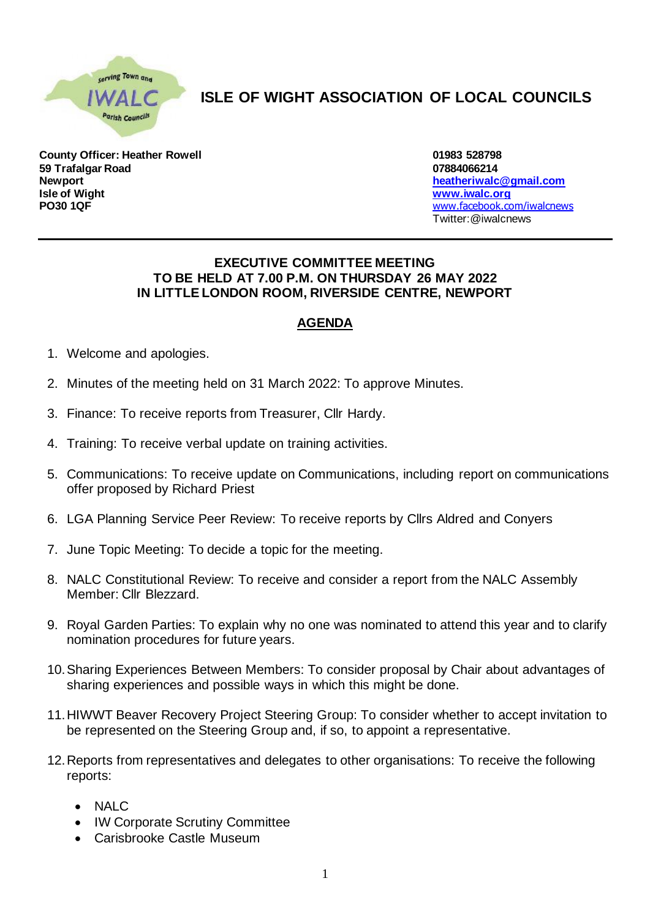

## **ISLE OF WIGHT ASSOCIATION OF LOCAL COUNCILS**

**County Officer: Heather Rowell 01983 528798 59 Trafalgar Road 07884066214 Newport [heatheriwalc@gmail.com](mailto:heatheriwalc@gmail.com) PO30 1QF** [www.facebook.com/iwalcnews](http://www.facebook.com/iwalcnews)

**Isle of Wight [www.iwalc.org](http://www.iwalc.org/)** Twitter:@iwalcnews

## **EXECUTIVE COMMITTEE MEETING TO BE HELD AT 7.00 P.M. ON THURSDAY 26 MAY 2022 IN LITTLE LONDON ROOM, RIVERSIDE CENTRE, NEWPORT**

## **AGENDA**

- 1. Welcome and apologies.
- 2. Minutes of the meeting held on 31 March 2022: To approve Minutes.
- 3. Finance: To receive reports from Treasurer, Cllr Hardy.
- 4. Training: To receive verbal update on training activities.
- 5. Communications: To receive update on Communications, including report on communications offer proposed by Richard Priest
- 6. LGA Planning Service Peer Review: To receive reports by Cllrs Aldred and Conyers
- 7. June Topic Meeting: To decide a topic for the meeting.
- 8. NALC Constitutional Review: To receive and consider a report from the NALC Assembly Member: Cllr Blezzard.
- 9. Royal Garden Parties: To explain why no one was nominated to attend this year and to clarify nomination procedures for future years.
- 10.Sharing Experiences Between Members: To consider proposal by Chair about advantages of sharing experiences and possible ways in which this might be done.
- 11.HIWWT Beaver Recovery Project Steering Group: To consider whether to accept invitation to be represented on the Steering Group and, if so, to appoint a representative.
- 12.Reports from representatives and delegates to other organisations: To receive the following reports:
	- NALC
	- IW Corporate Scrutiny Committee
	- Carisbrooke Castle Museum